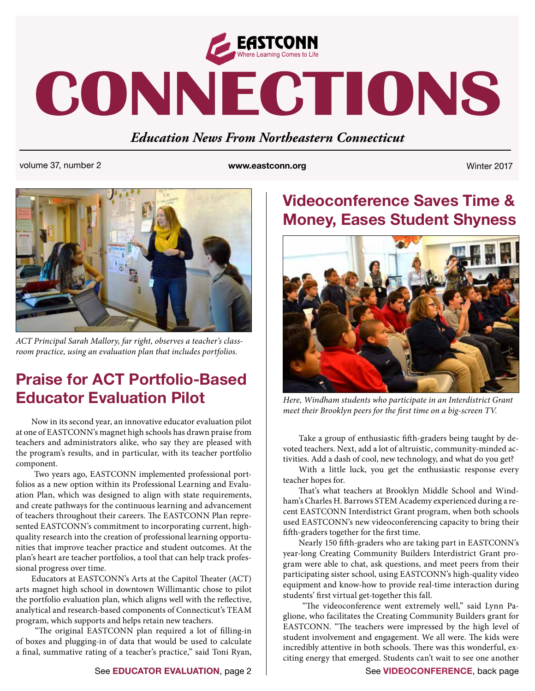

# CONNECTIONS

## *Education News From Northeastern Connecticut*

volume 37, number 2 **www.eastconn.org** Winter 2017



*ACT Principal Sarah Mallory, far right, observes a teacher's classroom practice, using an evaluation plan that includes portfolios.*

# **Praise for ACT Portfolio-Based Educator Evaluation Pilot**

Now in its second year, an innovative educator evaluation pilot at one of EASTCONN's magnet high schools has drawn praise from teachers and administrators alike, who say they are pleased with the program's results, and in particular, with its teacher portfolio component.

 Two years ago, EASTCONN implemented professional portfolios as a new option within its Professional Learning and Evaluation Plan, which was designed to align with state requirements, and create pathways for the continuous learning and advancement of teachers throughout their careers. The EASTCONN Plan represented EASTCONN's commitment to incorporating current, highquality research into the creation of professional learning opportunities that improve teacher practice and student outcomes. At the plan's heart are teacher portfolios, a tool that can help track professional progress over time.

Educators at EASTCONN's Arts at the Capitol Theater (ACT) arts magnet high school in downtown Willimantic chose to pilot the portfolio evaluation plan, which aligns well with the reflective, analytical and research-based components of Connecticut's TEAM program, which supports and helps retain new teachers.

"The original EASTCONN plan required a lot of filling-in of boxes and plugging-in of data that would be used to calculate a final, summative rating of a teacher's practice," said Toni Ryan,

# **Videoconference Saves Time & Money, Eases Student Shyness**



*Here, Windham students who participate in an Interdistrict Grant meet their Brooklyn peers for the first time on a big-screen TV.* 

Take a group of enthusiastic fifth-graders being taught by devoted teachers. Next, add a lot of altruistic, community-minded activities. Add a dash of cool, new technology, and what do you get?

With a little luck, you get the enthusiastic response every teacher hopes for.

That's what teachers at Brooklyn Middle School and Windham's Charles H. Barrows STEM Academy experienced during a recent EASTCONN Interdistrict Grant program, when both schools used EASTCONN's new videoconferencing capacity to bring their fifth-graders together for the first time.

Nearly 150 fifth-graders who are taking part in EASTCONN's year-long Creating Community Builders Interdistrict Grant program were able to chat, ask questions, and meet peers from their participating sister school, using EASTCONN's high-quality video equipment and know-how to provide real-time interaction during students' first virtual get-together this fall.

"The videoconference went extremely well," said Lynn Paglione, who facilitates the Creating Community Builders grant for EASTCONN. "The teachers were impressed by the high level of student involvement and engagement. We all were. The kids were incredibly attentive in both schools. There was this wonderful, exciting energy that emerged. Students can't wait to see one another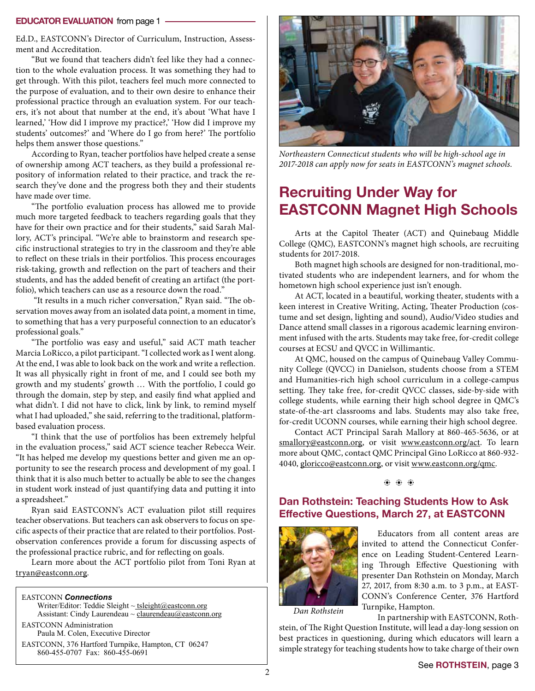#### **EDUCATOR EVALUATION** from page 1

Ed.D., EASTCONN's Director of Curriculum, Instruction, Assessment and Accreditation.

"But we found that teachers didn't feel like they had a connection to the whole evaluation process. It was something they had to get through. With this pilot, teachers feel much more connected to the purpose of evaluation, and to their own desire to enhance their professional practice through an evaluation system. For our teachers, it's not about that number at the end, it's about 'What have I learned,' 'How did I improve my practice?,' 'How did I improve my students' outcomes?' and 'Where do I go from here?' The portfolio helps them answer those questions."

According to Ryan, teacher portfolios have helped create a sense of ownership among ACT teachers, as they build a professional repository of information related to their practice, and track the research they've done and the progress both they and their students have made over time.

"The portfolio evaluation process has allowed me to provide much more targeted feedback to teachers regarding goals that they have for their own practice and for their students," said Sarah Mallory, ACT's principal. "We're able to brainstorm and research specific instructional strategies to try in the classroom and they're able to reflect on these trials in their portfolios. This process encourages risk-taking, growth and reflection on the part of teachers and their students, and has the added benefit of creating an artifact (the portfolio), which teachers can use as a resource down the road."

"It results in a much richer conversation," Ryan said. "The observation moves away from an isolated data point, a moment in time, to something that has a very purposeful connection to an educator's professional goals."

"The portfolio was easy and useful," said ACT math teacher Marcia LoRicco, a pilot participant. "I collected work as I went along. At the end, I was able to look back on the work and write a reflection. It was all physically right in front of me, and I could see both my growth and my students' growth … With the portfolio, I could go through the domain, step by step, and easily find what applied and what didn't. I did not have to click, link by link, to remind myself what I had uploaded," she said, referring to the traditional, platformbased evaluation process.

"I think that the use of portfolios has been extremely helpful in the evaluation process," said ACT science teacher Rebecca Weir. "It has helped me develop my questions better and given me an opportunity to see the research process and development of my goal. I think that it is also much better to actually be able to see the changes in student work instead of just quantifying data and putting it into a spreadsheet."

Ryan said EASTCONN's ACT evaluation pilot still requires teacher observations. But teachers can ask observers to focus on specific aspects of their practice that are related to their portfolios. Postobservation conferences provide a forum for discussing aspects of the professional practice rubric, and for reflecting on goals.

Learn more about the ACT portfolio pilot from Toni Ryan at tryan@eastconn.org.

#### EASTCONN *Connections*

Writer/Editor: Teddie Sleight ~ tsleigh[t@eastconn.org](mailto:tsleight@eastconn.org) Assistant: Cindy Laurendeau  $\sim$  claurendeau $@$ eastconn.org EASTCONN Administration Paula M. Colen, Executive Director

EASTCONN, 376 Hartford Turnpike, Hampton, CT 06247 860-455-0707 Fax: 860-455-0691



*Northeastern Connecticut students who will be high-school age in 2017-2018 can apply now for seats in EASTCONN's magnet schools.*

# **Recruiting Under Way for EASTCONN Magnet High Schools**

Arts at the Capitol Theater (ACT) and Quinebaug Middle College (QMC), EASTCONN's magnet high schools, are recruiting students for 2017-2018.

Both magnet high schools are designed for non-traditional, motivated students who are independent learners, and for whom the hometown high school experience just isn't enough.

At ACT, located in a beautiful, working theater, students with a keen interest in Creative Writing, Acting, Theater Production (costume and set design, lighting and sound), Audio/Video studies and Dance attend small classes in a rigorous academic learning environment infused with the arts. Students may take free, for-credit college courses at ECSU and QVCC in Willimantic.

At QMC, housed on the campus of Quinebaug Valley Community College (QVCC) in Danielson, students choose from a STEM and Humanities-rich high school curriculum in a college-campus setting. They take free, for-credit QVCC classes, side-by-side with college students, while earning their high school degree in QMC's state-of-the-art classrooms and labs. Students may also take free, for-credit UCONN courses, while earning their high school degree.

Contact ACT Principal Sarah Mallory at 860-465-5636, or at [smallory@eastconn.org,](mailto:smallory@eastconn.org) or visit [www.eastconn.org/act.](http://www.eastconn.org/act) To learn more about QMC, contact QMC Principal Gino LoRicco at 860-932- 4040, [gloricco@eastconn.org](mailto:gloricco@eastconn.org), or visit [www.eastconn.org/qmc.](http://www.eastconn.org/qmc)

 $\bullet$   $\bullet$   $\bullet$ 

### **Dan Rothstein: Teaching Students How to Ask Efective Questions, March 27, at EASTCONN**



Educators from all content areas are invited to attend the Connecticut Conference on Leading Student-Centered Learning Through Effective Questioning with presenter Dan Rothstein on Monday, March 27, 2017, from 8:30 a.m. to 3 p.m., at EAST-CONN's Conference Center, 376 Hartford Turnpike, Hampton.

*Dan Rothstein*

In partnership with EASTCONN, Rothstein, of The Right Question Institute, will lead a day-long session on best practices in questioning, during which educators will learn a simple strategy for teaching students how to take charge of their own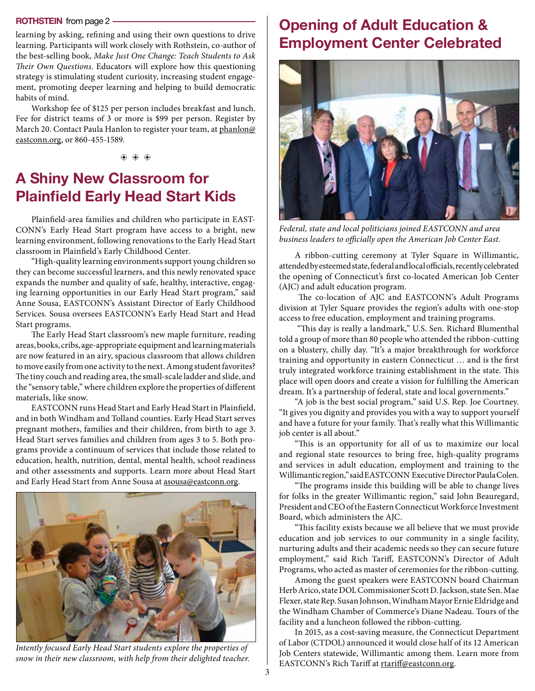learning by asking, refining and using their own questions to drive learning. Participants will work closely with Rothstein, co-author of the best-selling book, *Make Just One Change: Teach Students to Ask*  Their Own Questions. Educators will explore how this questioning strategy is stimulating student curiosity, increasing student engagement, promoting deeper learning and helping to build democratic habits of mind.

Workshop fee of \$125 per person includes breakfast and lunch. Fee for district teams of 3 or more is \$99 per person. Register by March 20. Contact Paula Hanlon to register your team, at [phanlon@](mailto:phanlon@eastconn.org) [eastconn.org](mailto:phanlon@eastconn.org), or 860-455-1589.

b b b

# **A Shiny New Classroom for Plainfeld Early Head Start Kids**

Plainfield-area families and children who participate in EAST-CONN's Early Head Start program have access to a bright, new learning environment, following renovations to the Early Head Start classroom in Plainfield's Early Childhood Center.

"High-quality learning environments support young children so they can become successful learners, and this newly renovated space expands the number and quality of safe, healthy, interactive, engaging learning opportunities in our Early Head Start program," said Anne Sousa, EASTCONN's Assistant Director of Early Childhood Services. Sousa oversees EASTCONN's Early Head Start and Head Start programs.

The Early Head Start classroom's new maple furniture, reading areas, books, cribs, age-appropriate equipment and learning materials are now featured in an airy, spacious classroom that allows children to move easily from one activity to the next. Among student favorites? The tiny couch and reading area, the small-scale ladder and slide, and the "sensory table," where children explore the properties of different materials, like snow.

EASTCONN runs Head Start and Early Head Start in Plainfield, and in both Windham and Tolland counties. Early Head Start serves pregnant mothers, families and their children, from birth to age 3. Head Start serves families and children from ages 3 to 5. Both programs provide a continuum of services that include those related to education, health, nutrition, dental, mental health, school readiness and other assessments and supports. Learn more about Head Start and Early Head Start from Anne Sousa at [asousa@eastconn.org](mailto:asousa@eastconn.org).



*Intently focused Early Head Start students explore the properties of snow in their new classroom, with help from their delighted teacher.*

# **ROTHSTEIN** from page 2 **Opening of Adult Education & Employment Center Celebrated**



*Federal, state and local politicians joined EASTCONN and area*  business leaders to officially open the American Job Center East.

A ribbon-cutting ceremony at Tyler Square in Willimantic, attended by esteemed state, federal and local officials, recently celebrated the opening of Connecticut's first co-located American Job Center (AJC) and adult education program.

The co-location of AJC and EASTCONN's Adult Programs division at Tyler Square provides the region's adults with one-stop access to free education, employment and training programs.

"This day is really a landmark," U.S. Sen. Richard Blumenthal told a group of more than 80 people who attended the ribbon-cutting on a blustery, chilly day. "It's a major breakthrough for workforce training and opportunity in eastern Connecticut ... and is the first truly integrated workforce training establishment in the state. This place will open doors and create a vision for fulfilling the American dream. It's a partnership of federal, state and local governments."

"A job is the best social program," said U.S. Rep. Joe Courtney. "It gives you dignity and provides you with a way to support yourself and have a future for your family. That's really what this Willimantic job center is all about."

"This is an opportunity for all of us to maximize our local and regional state resources to bring free, high-quality programs and services in adult education, employment and training to the Willimantic region," said EASTCONN Executive Director Paula Colen.

"The programs inside this building will be able to change lives for folks in the greater Willimantic region," said John Beauregard, President and CEO of the Eastern Connecticut Workforce Investment Board, which administers the AJC.

"This facility exists because we all believe that we must provide education and job services to our community in a single facility, nurturing adults and their academic needs so they can secure future employment," said Rich Tariff, EASTCONN's Director of Adult Programs, who acted as master of ceremonies for the ribbon-cutting.

Among the guest speakers were EASTCONN board Chairman Herb Arico, state DOL Commissioner Scott D. Jackson, state Sen. Mae Flexer, state Rep. Susan Johnson, Windham Mayor Ernie Eldridge and the Windham Chamber of Commerce's Diane Nadeau. Tours of the facility and a luncheon followed the ribbon-cutting.

In 2015, as a cost-saving measure, the Connecticut Department of Labor (CTDOL) announced it would close half of its 12 American Job Centers statewide, Willimantic among them. Learn more from EASTCONN's Rich Tariff at rtariff[@eastconn.org.](mailto:rtariff@eastconn.org)